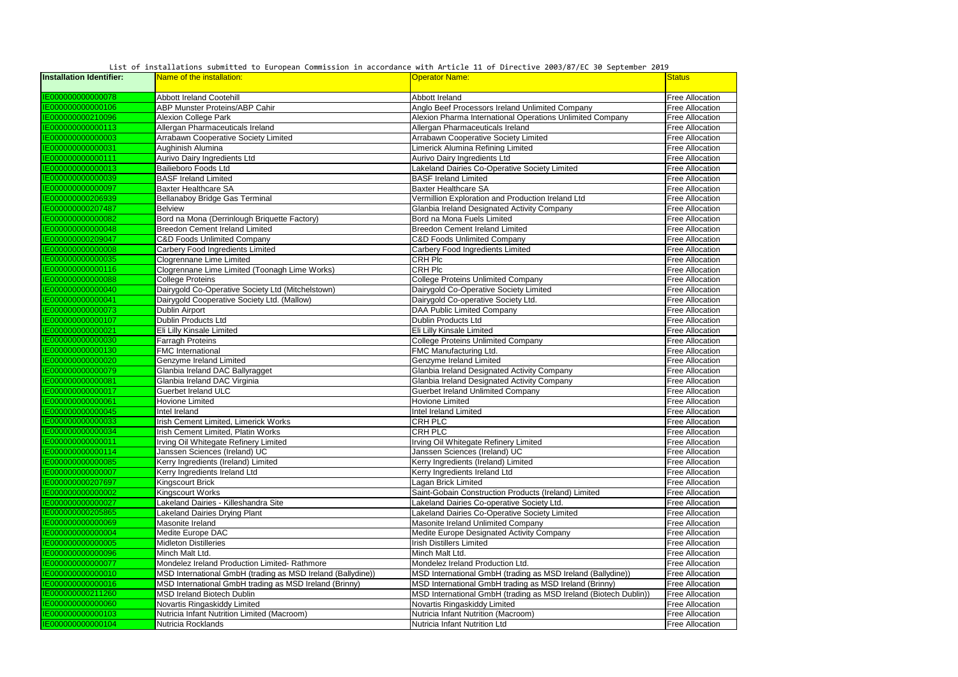| <b>Installation Identifier:</b> | Name of the installation:                                   | WELDING SUDMILLED TO EXTOPLY TOMMILLED LOT IN UCCORDUNICE MICH AN CLULE II OF DIRECTIVE LOGS/OF/LE SO SEPECHNOLF LO<br><b>Operator Name:</b> | <b>Status</b>          |
|---------------------------------|-------------------------------------------------------------|----------------------------------------------------------------------------------------------------------------------------------------------|------------------------|
| IE000000000000078               | <b>Abbott Ireland Cootehill</b>                             | Abbott Ireland                                                                                                                               | <b>Free Allocation</b> |
| IE000000000000106               | <b>ABP Munster Proteins/ABP Cahir</b>                       | Anglo Beef Processors Ireland Unlimited Company                                                                                              | <b>Free Allocation</b> |
| IE000000000210096               | <b>Alexion College Park</b>                                 | Alexion Pharma International Operations Unlimited Company                                                                                    | <b>Free Allocation</b> |
| IE000000000000113               | Allergan Pharmaceuticals Ireland                            | Allergan Pharmaceuticals Ireland                                                                                                             | <b>Free Allocation</b> |
| IE000000000000003               | Arrabawn Cooperative Society Limited                        | Arrabawn Cooperative Society Limited                                                                                                         | <b>Free Allocation</b> |
| IE000000000000031               | Aughinish Alumina                                           | Limerick Alumina Refining Limited                                                                                                            | <b>Free Allocation</b> |
| IE000000000000111               | Aurivo Dairy Ingredients Ltd                                | <b>Aurivo Dairy Ingredients Ltd</b>                                                                                                          | <b>Free Allocation</b> |
| IE000000000000013               | <b>Bailieboro Foods Ltd</b>                                 | Lakeland Dairies Co-Operative Society Limited                                                                                                | <b>Free Allocation</b> |
| IE000000000000039               | <b>BASF Ireland Limited</b>                                 | <b>BASF Ireland Limited</b>                                                                                                                  | <b>Free Allocation</b> |
| IE000000000000097               | <b>Baxter Healthcare SA</b>                                 | <b>Baxter Healthcare SA</b>                                                                                                                  | <b>Free Allocation</b> |
| IE000000000206939               | <b>Bellanaboy Bridge Gas Terminal</b>                       | Vermillion Exploration and Production Ireland Ltd                                                                                            | <b>Free Allocation</b> |
| IE000000000207487               | <b>Belview</b>                                              | Glanbia Ireland Designated Activity Company                                                                                                  | <b>Free Allocation</b> |
| IE000000000000082               | Bord na Mona (Derrinlough Briquette Factory)                | Bord na Mona Fuels Limited                                                                                                                   | <b>Free Allocation</b> |
| IE000000000000048               | <b>Breedon Cement Ireland Limited</b>                       | <b>Breedon Cement Ireland Limited</b>                                                                                                        | <b>Free Allocation</b> |
| IE000000000209047               | <b>C&amp;D Foods Unlimited Company</b>                      | <b>C&amp;D Foods Unlimited Company</b>                                                                                                       | <b>Free Allocation</b> |
| IE000000000000008               | <b>Carbery Food Ingredients Limited</b>                     | <b>Carbery Food Ingredients Limited</b>                                                                                                      | <b>Free Allocation</b> |
| IE000000000000035               | <b>Clogrennane Lime Limited</b>                             | <b>CRH Plc</b>                                                                                                                               | <b>Free Allocation</b> |
| IE000000000000116               | Clogrennane Lime Limited (Toonagh Lime Works)               | <b>CRH Plc</b>                                                                                                                               | <b>Free Allocation</b> |
| IE000000000000088               | <b>College Proteins</b>                                     | <b>College Proteins Unlimited Company</b>                                                                                                    | <b>Free Allocation</b> |
| IE000000000000040               | Dairygold Co-Operative Society Ltd (Mitchelstown)           | Dairygold Co-Operative Society Limited                                                                                                       | <b>Free Allocation</b> |
| IE000000000000041               | Dairygold Cooperative Society Ltd. (Mallow)                 | Dairygold Co-operative Society Ltd.                                                                                                          | <b>Free Allocation</b> |
| IE000000000000073               | Dublin Airport                                              | <b>DAA Public Limited Company</b>                                                                                                            | <b>Free Allocation</b> |
| IE000000000000107               | <b>Dublin Products Ltd</b>                                  | Dublin Products Ltd                                                                                                                          | <b>Free Allocation</b> |
| IE000000000000021               | Eli Lilly Kinsale Limited                                   | Eli Lilly Kinsale Limited                                                                                                                    | <b>Free Allocation</b> |
| IE000000000000030               | <b>Farragh Proteins</b>                                     | <b>College Proteins Unlimited Company</b>                                                                                                    | <b>Free Allocation</b> |
| IE000000000000130               | <b>FMC</b> International                                    | FMC Manufacturing Ltd.                                                                                                                       | <b>Free Allocation</b> |
| IE000000000000020               | Genzyme Ireland Limited                                     | Genzyme Ireland Limited                                                                                                                      | <b>Free Allocation</b> |
| IE000000000000079               | Glanbia Ireland DAC Ballyragget                             | Glanbia Ireland Designated Activity Company                                                                                                  | <b>Free Allocation</b> |
| IE000000000000081               | Glanbia Ireland DAC Virginia                                | Glanbia Ireland Designated Activity Company                                                                                                  | <b>Free Allocation</b> |
| IE000000000000017               | <b>Guerbet Ireland ULC</b>                                  | <b>Guerbet Ireland Unlimited Company</b>                                                                                                     | <b>Free Allocation</b> |
| IE000000000000061               | Hovione Limited                                             | <b>Hovione Limited</b>                                                                                                                       | <b>Free Allocation</b> |
| IE000000000000045               | Intel Ireland                                               | Intel Ireland Limited                                                                                                                        | <b>Free Allocation</b> |
| IE000000000000033               | Irish Cement Limited, Limerick Works                        | <b>CRH PLC</b>                                                                                                                               | <b>Free Allocation</b> |
| IE000000000000034               | Irish Cement Limited, Platin Works                          | <b>CRH PLC</b>                                                                                                                               | <b>Free Allocation</b> |
| IE000000000000011               | Irving Oil Whitegate Refinery Limited                       | Irving Oil Whitegate Refinery Limited                                                                                                        | <b>Free Allocation</b> |
| IE000000000000114               | Janssen Sciences (Ireland) UC                               | Janssen Sciences (Ireland) UC                                                                                                                | <b>Free Allocation</b> |
| IE000000000000085               | Kerry Ingredients (Ireland) Limited                         | Kerry Ingredients (Ireland) Limited                                                                                                          | <b>Free Allocation</b> |
| IE000000000000007               | Kerry Ingredients Ireland Ltd                               | Kerry Ingredients Ireland Ltd                                                                                                                | <b>Free Allocation</b> |
| IE000000000207697               | <b>Kingscourt Brick</b>                                     | Lagan Brick Limited                                                                                                                          | <b>Free Allocation</b> |
| IE00000000000002                | <b>Kingscourt Works</b>                                     | Saint-Gobain Construction Products (Ireland) Limited                                                                                         | <b>Free Allocation</b> |
| IE000000000000027               | Lakeland Dairies - Killeshandra Site                        | Lakeland Dairies Co-operative Society Ltd.                                                                                                   | <b>Free Allocation</b> |
| IE000000000205865               | <b>Lakeland Dairies Drying Plant</b>                        | Lakeland Dairies Co-Operative Society Limited                                                                                                | <b>Free Allocation</b> |
| IE000000000000069               | Masonite Ireland                                            | Masonite Ireland Unlimited Company                                                                                                           | <b>Free Allocation</b> |
| IE000000000000004               | Medite Europe DAC                                           | Medite Europe Designated Activity Company                                                                                                    | <b>Free Allocation</b> |
| IE00000000000005                | <b>Midleton Distilleries</b>                                | <b>Irish Distillers Limited</b>                                                                                                              | <b>Free Allocation</b> |
| IE000000000000096               | Minch Malt Ltd.                                             | Minch Malt Ltd.                                                                                                                              | <b>Free Allocation</b> |
| IE000000000000077               | Mondelez Ireland Production Limited- Rathmore               | Mondelez Ireland Production Ltd.                                                                                                             | <b>Free Allocation</b> |
| IE000000000000010               | MSD International GmbH (trading as MSD Ireland (Ballydine)) | MSD International GmbH (trading as MSD Ireland (Ballydine))                                                                                  | <b>Free Allocation</b> |
| IE000000000000016               | MSD International GmbH trading as MSD Ireland (Brinny)      | MSD International GmbH trading as MSD Ireland (Brinny)                                                                                       | <b>Free Allocation</b> |
| IE000000000211260               | <b>MSD Ireland Biotech Dublin</b>                           | MSD International GmbH (trading as MSD Ireland (Biotech Dublin))                                                                             | <b>Free Allocation</b> |
| IE000000000000060               | Novartis Ringaskiddy Limited                                | Novartis Ringaskiddy Limited                                                                                                                 | <b>Free Allocation</b> |
| IE000000000000103               | Nutricia Infant Nutrition Limited (Macroom)                 | Nutricia Infant Nutrition (Macroom)                                                                                                          | <b>Free Allocation</b> |
| IE000000000000104               | Nutricia Rocklands                                          | Nutricia Infant Nutrition Ltd                                                                                                                | <b>Free Allocation</b> |

List of installations submitted to European Commission in accordance with Article 11 of Directive 2003/87/EC 30 September 2019